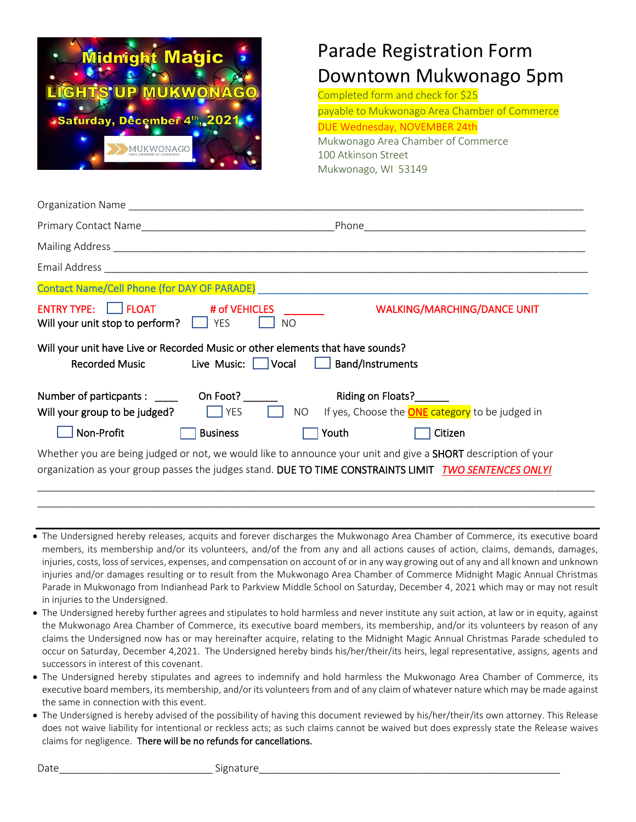

## Parade Registration Form Downtown Mukwonago 5pm

Completed form and check for \$25

payable to Mukwonago Area Chamber of Commerce DUE Wednesday, NOVEMBER 24th Mukwonago Area Chamber of Commerce 100 Atkinson Street

Mukwonago, WI 53149

| Contact Name/Cell Phone (for DAY OF PARADE)                                                                                                                                                                            |                                                           |
|------------------------------------------------------------------------------------------------------------------------------------------------------------------------------------------------------------------------|-----------------------------------------------------------|
| ENTRY TYPE:     FLOAT # of VEHICLES<br>Will your unit stop to perform? $\Box$ YES<br>NO.                                                                                                                               | <b>WALKING/MARCHING/DANCE UNIT</b>                        |
| Will your unit have Live or Recorded Music or other elements that have sounds?<br>Live Music:       Vocal     Band/Instruments<br><b>Recorded Music</b>                                                                |                                                           |
| Number of particpants : ______ On Foot?                                                                                                                                                                                | Riding on Floats?                                         |
| $\Box$ YES<br>Will your group to be judged?                                                                                                                                                                            | NO If yes, Choose the <b>ONE</b> category to be judged in |
| Non-Profit<br><b>Business</b>                                                                                                                                                                                          | Citizen<br>Youth                                          |
| Whether you are being judged or not, we would like to announce your unit and give a SHORT description of your<br>organization as your group passes the judges stand. DUE TO TIME CONSTRAINTS LIMIT TWO SENTENCES ONLY! |                                                           |

• The Undersigned hereby releases, acquits and forever discharges the Mukwonago Area Chamber of Commerce, its executive board members, its membership and/or its volunteers, and/of the from any and all actions causes of action, claims, demands, damages, injuries, costs, loss of services, expenses, and compensation on account of or in any way growing out of any and all known and unknown injuries and/or damages resulting or to result from the Mukwonago Area Chamber of Commerce Midnight Magic Annual Christmas Parade in Mukwonago from Indianhead Park to Parkview Middle School on Saturday, December 4, 2021 which may or may not result in injuries to the Undersigned.

\_\_\_\_\_\_\_\_\_\_\_\_\_\_\_\_\_\_\_\_\_\_\_\_\_\_\_\_\_\_\_\_\_\_\_\_\_\_\_\_\_\_\_\_\_\_\_\_\_\_\_\_\_\_\_\_\_\_\_\_\_\_\_\_\_\_\_\_\_\_\_\_\_\_\_\_\_\_\_\_\_\_\_\_\_\_\_\_\_\_\_\_\_\_\_\_\_\_

- The Undersigned hereby further agrees and stipulates to hold harmless and never institute any suit action, at law or in equity, against the Mukwonago Area Chamber of Commerce, its executive board members, its membership, and/or its volunteers by reason of any claims the Undersigned now has or may hereinafter acquire, relating to the Midnight Magic Annual Christmas Parade scheduled to occur on Saturday, December 4,2021. The Undersigned hereby binds his/her/their/its heirs, legal representative, assigns, agents and successors in interest of this covenant.
- The Undersigned hereby stipulates and agrees to indemnify and hold harmless the Mukwonago Area Chamber of Commerce, its executive board members, its membership, and/or its volunteers from and of any claim of whatever nature which may be made against the same in connection with this event.
- The Undersigned is hereby advised of the possibility of having this document reviewed by his/her/their/its own attorney. This Release does not waive liability for intentional or reckless acts; as such claims cannot be waived but does expressly state the Release waives claims for negligence. There will be no refunds for cancellations.